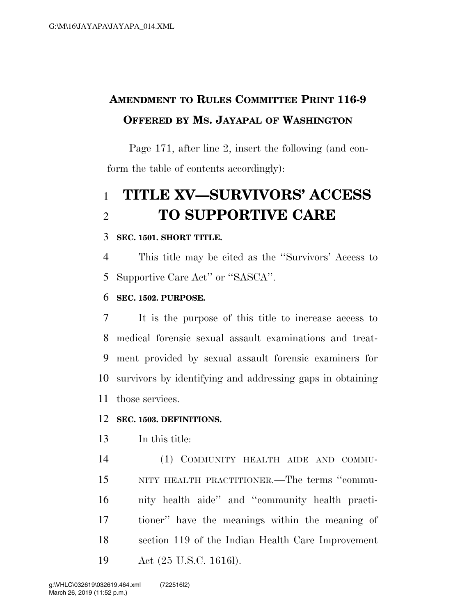# **AMENDMENT TO RULES COMMITTEE PRINT 116-9 OFFERED BY MS. JAYAPAL OF WASHINGTON**

Page 171, after line 2, insert the following (and conform the table of contents accordingly):

# **TITLE XV—SURVIVORS' ACCESS TO SUPPORTIVE CARE**

### **SEC. 1501. SHORT TITLE.**

 This title may be cited as the ''Survivors' Access to Supportive Care Act'' or ''SASCA''.

### **SEC. 1502. PURPOSE.**

 It is the purpose of this title to increase access to medical forensic sexual assault examinations and treat- ment provided by sexual assault forensic examiners for survivors by identifying and addressing gaps in obtaining those services.

### **SEC. 1503. DEFINITIONS.**

In this title:

 (1) COMMUNITY HEALTH AIDE AND COMMU- NITY HEALTH PRACTITIONER.—The terms ''commu- nity health aide'' and ''community health practi- tioner'' have the meanings within the meaning of section 119 of the Indian Health Care Improvement Act (25 U.S.C. 1616l).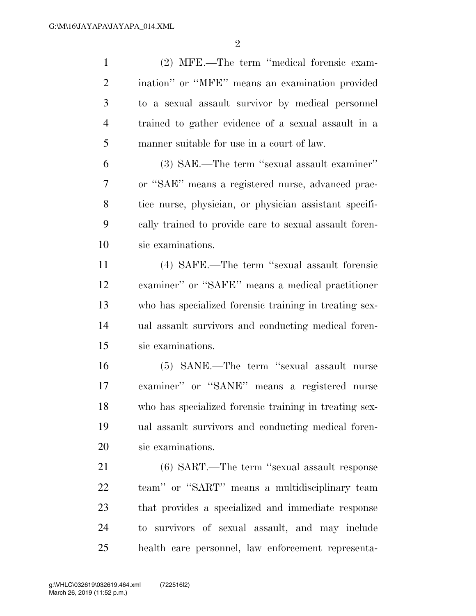(2) MFE.—The term ''medical forensic exam- ination'' or ''MFE'' means an examination provided to a sexual assault survivor by medical personnel trained to gather evidence of a sexual assault in a manner suitable for use in a court of law.

 (3) SAE.—The term ''sexual assault examiner'' or ''SAE'' means a registered nurse, advanced prac- tice nurse, physician, or physician assistant specifi- cally trained to provide care to sexual assault foren-sic examinations.

 (4) SAFE.—The term ''sexual assault forensic examiner'' or ''SAFE'' means a medical practitioner who has specialized forensic training in treating sex- ual assault survivors and conducting medical foren-sic examinations.

 (5) SANE.—The term ''sexual assault nurse examiner'' or ''SANE'' means a registered nurse who has specialized forensic training in treating sex- ual assault survivors and conducting medical foren-sic examinations.

 (6) SART.—The term ''sexual assault response team'' or ''SART'' means a multidisciplinary team that provides a specialized and immediate response to survivors of sexual assault, and may include health care personnel, law enforcement representa-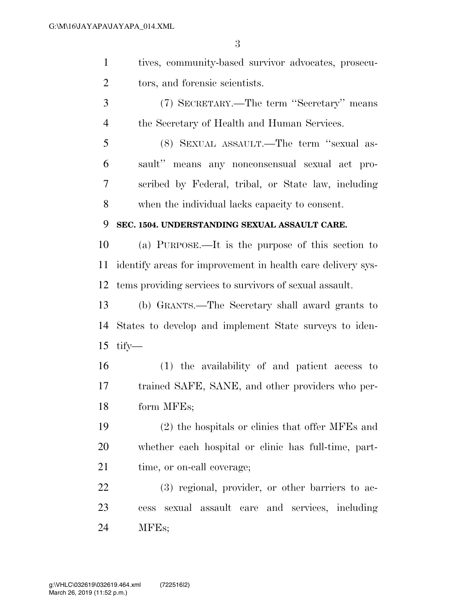| tives, community-based survivor advocates, prosecu- |
|-----------------------------------------------------|
| tors, and forensic scientists.                      |

 (7) SECRETARY.—The term ''Secretary'' means the Secretary of Health and Human Services.

 (8) SEXUAL ASSAULT.—The term ''sexual as- sault'' means any nonconsensual sexual act pro- scribed by Federal, tribal, or State law, including when the individual lacks capacity to consent.

### **SEC. 1504. UNDERSTANDING SEXUAL ASSAULT CARE.**

 (a) PURPOSE.—It is the purpose of this section to identify areas for improvement in health care delivery sys-tems providing services to survivors of sexual assault.

 (b) GRANTS.—The Secretary shall award grants to States to develop and implement State surveys to iden-tify—

 (1) the availability of and patient access to trained SAFE, SANE, and other providers who per-form MFEs;

 (2) the hospitals or clinics that offer MFEs and whether each hospital or clinic has full-time, part-21 time, or on-call coverage;

 (3) regional, provider, or other barriers to ac- cess sexual assault care and services, including MFEs;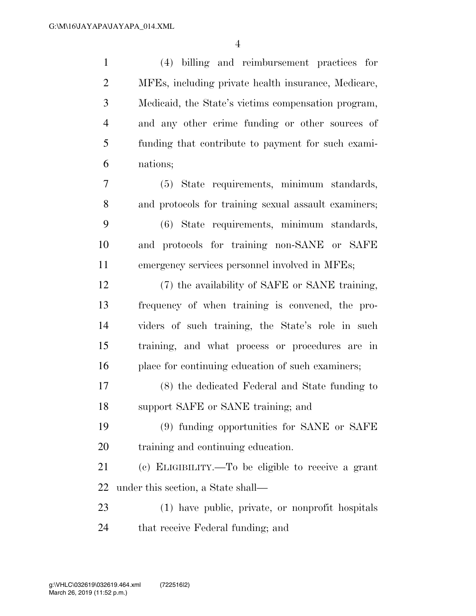(4) billing and reimbursement practices for MFEs, including private health insurance, Medicare, Medicaid, the State's victims compensation program, and any other crime funding or other sources of funding that contribute to payment for such exami- nations; (5) State requirements, minimum standards, and protocols for training sexual assault examiners; (6) State requirements, minimum standards, and protocols for training non-SANE or SAFE emergency services personnel involved in MFEs; (7) the availability of SAFE or SANE training, frequency of when training is convened, the pro- viders of such training, the State's role in such training, and what process or procedures are in place for continuing education of such examiners; (8) the dedicated Federal and State funding to support SAFE or SANE training; and (9) funding opportunities for SANE or SAFE training and continuing education. (c) ELIGIBILITY.—To be eligible to receive a grant under this section, a State shall— (1) have public, private, or nonprofit hospitals that receive Federal funding; and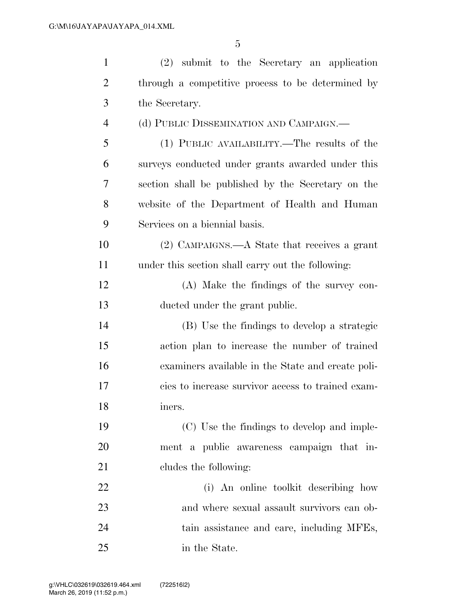| $\mathbf{1}$   | $(2)$ submit to the Secretary an application       |
|----------------|----------------------------------------------------|
| $\overline{2}$ | through a competitive process to be determined by  |
| 3              | the Secretary.                                     |
| 4              | (d) PUBLIC DISSEMINATION AND CAMPAIGN.—            |
| 5              | (1) PUBLIC AVAILABILITY.—The results of the        |
| 6              | surveys conducted under grants awarded under this  |
| 7              | section shall be published by the Secretary on the |
| 8              | website of the Department of Health and Human      |
| 9              | Services on a biennial basis.                      |
| 10             | (2) CAMPAIGNS.—A State that receives a grant       |
| 11             | under this section shall carry out the following:  |
| 12             | (A) Make the findings of the survey con-           |
| 13             | ducted under the grant public.                     |
| 14             | (B) Use the findings to develop a strategic        |
| 15             | action plan to increase the number of trained      |
| 16             | examiners available in the State and create poli-  |
| 17             | cies to increase survivor access to trained exam-  |
| 18             | iners.                                             |
| 19             | (C) Use the findings to develop and imple-         |
| 20             | ment a public awareness campaign that in-          |
| 21             | cludes the following:                              |
| 22             | (i) An online toolkit describing how               |
| 23             | and where sexual assault survivors can ob-         |
| 24             | tain assistance and care, including MFEs,          |
| 25             | in the State.                                      |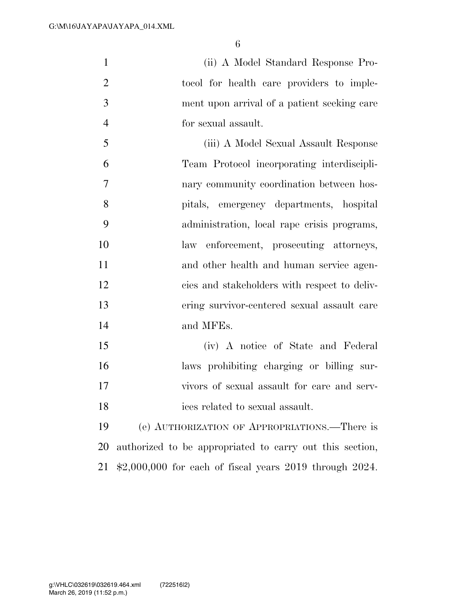(ii) A Model Standard Response Pro-2 tocol for health care providers to imple- ment upon arrival of a patient seeking care for sexual assault.

 (iii) A Model Sexual Assault Response Team Protocol incorporating interdiscipli- nary community coordination between hos- pitals, emergency departments, hospital administration, local rape crisis programs, law enforcement, prosecuting attorneys, and other health and human service agen- cies and stakeholders with respect to deliv- ering survivor-centered sexual assault care and MFEs.

 (iv) A notice of State and Federal laws prohibiting charging or billing sur- vivors of sexual assault for care and serv-ices related to sexual assault.

 (e) AUTHORIZATION OF APPROPRIATIONS.—There is authorized to be appropriated to carry out this section, \$2,000,000 for each of fiscal years 2019 through 2024.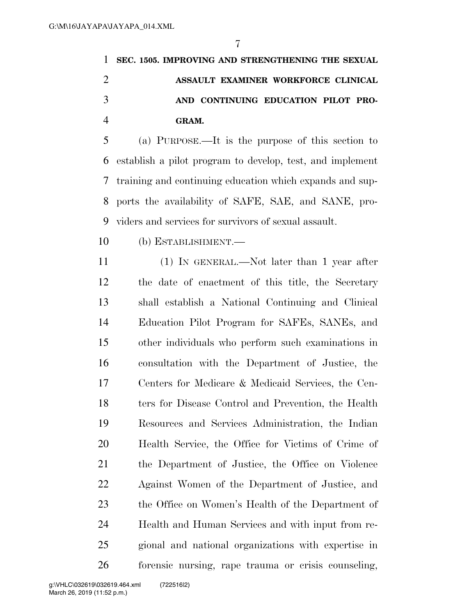| 1 SEC. 1505. IMPROVING AND STRENGTHENING THE SEXUAL |
|-----------------------------------------------------|
| ASSAULT EXAMINER WORKFORCE CLINICAL                 |
| AND CONTINUING EDUCATION PILOT PRO-                 |
| GRAM.                                               |

 (a) PURPOSE.—It is the purpose of this section to establish a pilot program to develop, test, and implement training and continuing education which expands and sup- ports the availability of SAFE, SAE, and SANE, pro-viders and services for survivors of sexual assault.

(b) ESTABLISHMENT.—

 (1) IN GENERAL.—Not later than 1 year after the date of enactment of this title, the Secretary shall establish a National Continuing and Clinical Education Pilot Program for SAFEs, SANEs, and other individuals who perform such examinations in consultation with the Department of Justice, the Centers for Medicare & Medicaid Services, the Cen- ters for Disease Control and Prevention, the Health Resources and Services Administration, the Indian Health Service, the Office for Victims of Crime of the Department of Justice, the Office on Violence Against Women of the Department of Justice, and the Office on Women's Health of the Department of Health and Human Services and with input from re- gional and national organizations with expertise in forensic nursing, rape trauma or crisis counseling,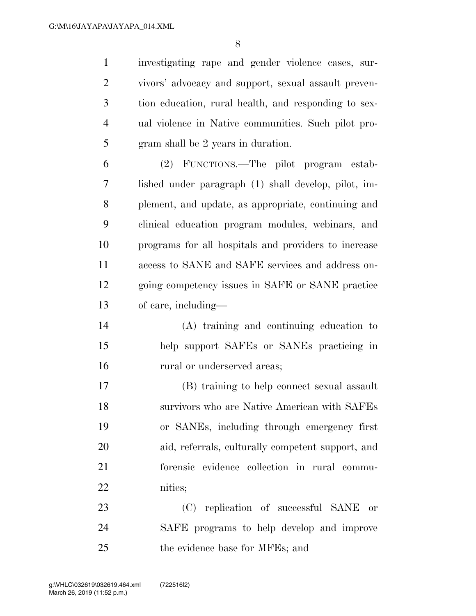investigating rape and gender violence cases, sur- vivors' advocacy and support, sexual assault preven- tion education, rural health, and responding to sex- ual violence in Native communities. Such pilot pro-gram shall be 2 years in duration.

 (2) FUNCTIONS.—The pilot program estab- lished under paragraph (1) shall develop, pilot, im- plement, and update, as appropriate, continuing and clinical education program modules, webinars, and programs for all hospitals and providers to increase access to SANE and SAFE services and address on- going competency issues in SAFE or SANE practice of care, including—

 (A) training and continuing education to help support SAFEs or SANEs practicing in 16 rural or underserved areas;

 (B) training to help connect sexual assault survivors who are Native American with SAFEs or SANEs, including through emergency first aid, referrals, culturally competent support, and forensic evidence collection in rural commu-nities;

 (C) replication of successful SANE or SAFE programs to help develop and improve the evidence base for MFEs; and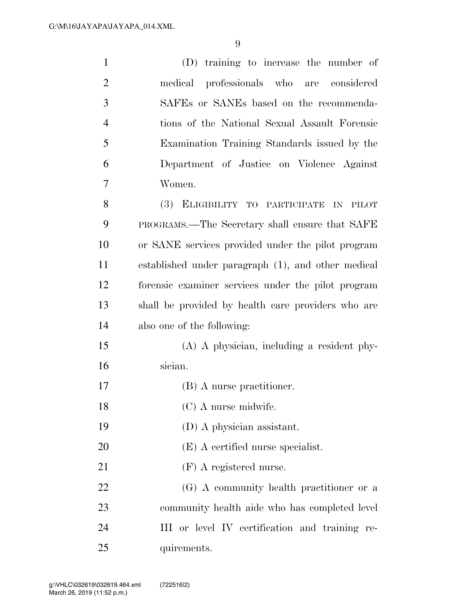| $\mathbf{1}$   | (D) training to increase the number of             |
|----------------|----------------------------------------------------|
| $\overline{2}$ | medical professionals who are considered           |
| 3              | SAFEs or SANEs based on the recommenda-            |
| $\overline{4}$ | tions of the National Sexual Assault Forensic      |
| 5              | Examination Training Standards issued by the       |
| 6              | Department of Justice on Violence Against          |
| 7              | Women.                                             |
| 8              | (3) ELIGIBILITY TO PARTICIPATE IN PILOT            |
| 9              | PROGRAMS.—The Secretary shall ensure that SAFE     |
| 10             | or SANE services provided under the pilot program  |
| 11             | established under paragraph (1), and other medical |
| 12             | forensic examiner services under the pilot program |
| 13             | shall be provided by health care providers who are |
| 14             | also one of the following:                         |
| 15             | (A) A physician, including a resident phy-         |
| 16             | sician.                                            |
| 17             | (B) A nurse practitioner.                          |
| 18             | $(C)$ A nurse midwife.                             |
| 19             | (D) A physician assistant.                         |
| 20             | (E) A certified nurse specialist.                  |
| 21             | $(F)$ A registered nurse.                          |
| 22             | (G) A community health practitioner or a           |
| 23             | community health aide who has completed level      |
| 24             | III or level IV certification and training re-     |
| 25             | quirements.                                        |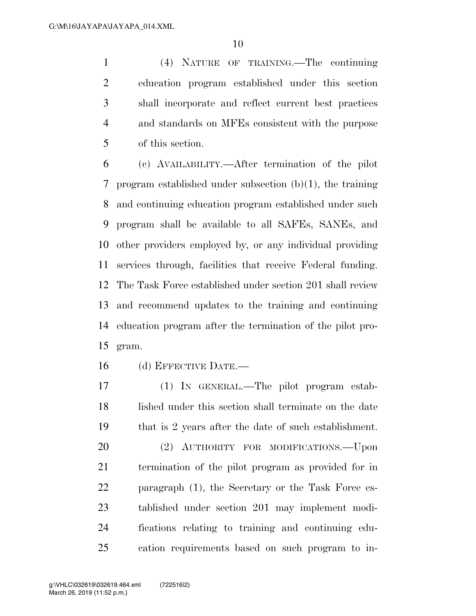(4) NATURE OF TRAINING.—The continuing education program established under this section shall incorporate and reflect current best practices and standards on MFEs consistent with the purpose of this section.

 (c) AVAILABILITY.—After termination of the pilot program established under subsection (b)(1), the training and continuing education program established under such program shall be available to all SAFEs, SANEs, and other providers employed by, or any individual providing services through, facilities that receive Federal funding. The Task Force established under section 201 shall review and recommend updates to the training and continuing education program after the termination of the pilot pro-gram.

(d) EFFECTIVE DATE.—

 (1) IN GENERAL.—The pilot program estab- lished under this section shall terminate on the date that is 2 years after the date of such establishment. (2) AUTHORITY FOR MODIFICATIONS.—Upon termination of the pilot program as provided for in paragraph (1), the Secretary or the Task Force es- tablished under section 201 may implement modi- fications relating to training and continuing edu-cation requirements based on such program to in-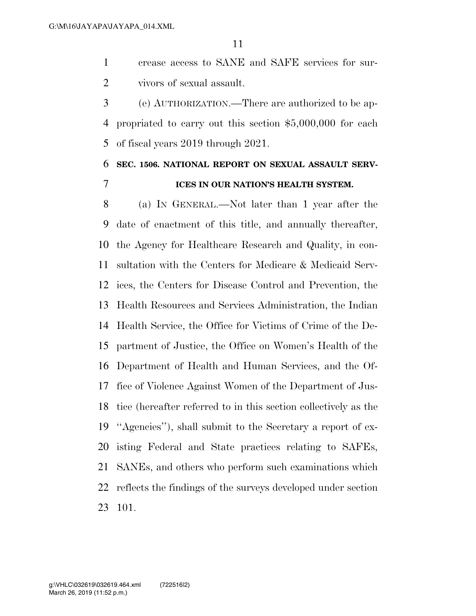crease access to SANE and SAFE services for sur-vivors of sexual assault.

 (e) AUTHORIZATION.—There are authorized to be ap- propriated to carry out this section \$5,000,000 for each of fiscal years 2019 through 2021.

## **SEC. 1506. NATIONAL REPORT ON SEXUAL ASSAULT SERV-ICES IN OUR NATION'S HEALTH SYSTEM.**

 (a) IN GENERAL.—Not later than 1 year after the date of enactment of this title, and annually thereafter, the Agency for Healthcare Research and Quality, in con- sultation with the Centers for Medicare & Medicaid Serv- ices, the Centers for Disease Control and Prevention, the Health Resources and Services Administration, the Indian Health Service, the Office for Victims of Crime of the De- partment of Justice, the Office on Women's Health of the Department of Health and Human Services, and the Of- fice of Violence Against Women of the Department of Jus- tice (hereafter referred to in this section collectively as the ''Agencies''), shall submit to the Secretary a report of ex- isting Federal and State practices relating to SAFEs, SANEs, and others who perform such examinations which reflects the findings of the surveys developed under section 101.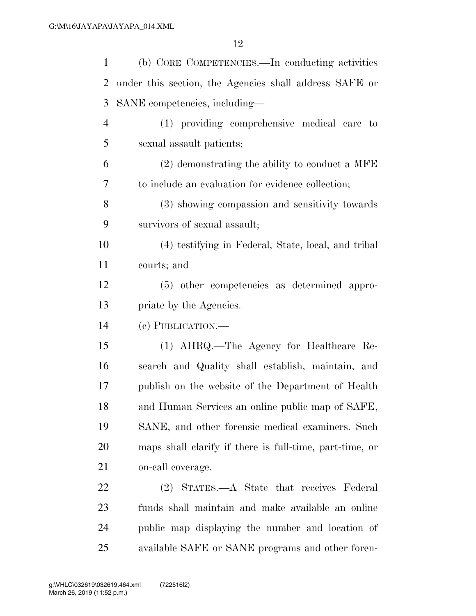| $\mathbf{1}$   | (b) CORE COMPETENCIES.—In conducting activities         |
|----------------|---------------------------------------------------------|
| 2              | under this section, the Agencies shall address SAFE or  |
| 3              | SANE competencies, including—                           |
| $\overline{4}$ | (1) providing comprehensive medical care to             |
| 5              | sexual assault patients;                                |
| 6              | $(2)$ demonstrating the ability to conduct a MFE        |
| 7              | to include an evaluation for evidence collection;       |
| 8              | (3) showing compassion and sensitivity towards          |
| 9              | survivors of sexual assault;                            |
| 10             | (4) testifying in Federal, State, local, and tribal     |
| 11             | courts; and                                             |
| 12             | (5) other competencies as determined appro-             |
| 13             | priate by the Agencies.                                 |
| 14             | (c) PUBLICATION.—                                       |
| 15             | (1) AHRQ.—The Agency for Healthcare Re-                 |
| 16             | search and Quality shall establish, maintain, and       |
| 17             | publish on the website of the Department of Health      |
| 18             | and Human Services an online public map of SAFE,        |
| 19             | SANE, and other forensic medical examiners. Such        |
| 20             | maps shall elarify if there is full-time, part-time, or |
| 21             | on-call coverage.                                       |
| 22             | (2) STATES.—A State that receives Federal               |
| 23             | funds shall maintain and make available an online       |
| 24             | public map displaying the number and location of        |
| 25             | available SAFE or SANE programs and other foren-        |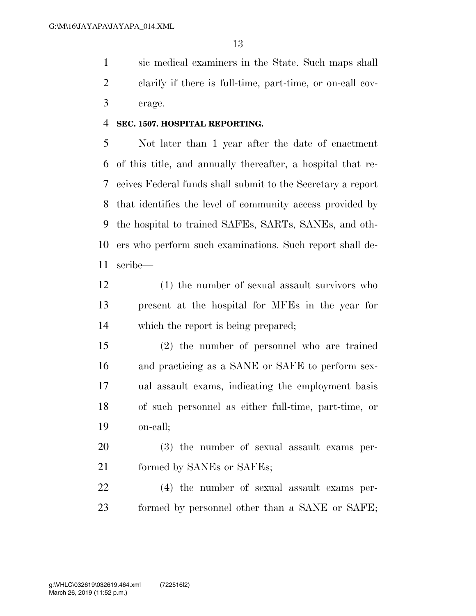sic medical examiners in the State. Such maps shall clarify if there is full-time, part-time, or on-call cov-erage.

#### **SEC. 1507. HOSPITAL REPORTING.**

 Not later than 1 year after the date of enactment of this title, and annually thereafter, a hospital that re- ceives Federal funds shall submit to the Secretary a report that identifies the level of community access provided by the hospital to trained SAFEs, SARTs, SANEs, and oth- ers who perform such examinations. Such report shall de-scribe—

- (1) the number of sexual assault survivors who present at the hospital for MFEs in the year for which the report is being prepared;
- (2) the number of personnel who are trained and practicing as a SANE or SAFE to perform sex- ual assault exams, indicating the employment basis of such personnel as either full-time, part-time, or on-call;
- (3) the number of sexual assault exams per-21 formed by SANEs or SAFEs;

 (4) the number of sexual assault exams per-formed by personnel other than a SANE or SAFE;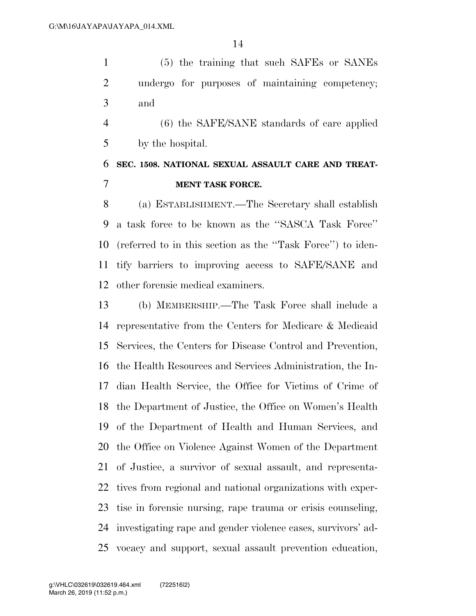(5) the training that such SAFEs or SANEs undergo for purposes of maintaining competency; and

 (6) the SAFE/SANE standards of care applied by the hospital.

## **SEC. 1508. NATIONAL SEXUAL ASSAULT CARE AND TREAT-MENT TASK FORCE.**

 (a) ESTABLISHMENT.—The Secretary shall establish a task force to be known as the ''SASCA Task Force'' (referred to in this section as the ''Task Force'') to iden- tify barriers to improving access to SAFE/SANE and other forensic medical examiners.

 (b) MEMBERSHIP.—The Task Force shall include a representative from the Centers for Medicare & Medicaid Services, the Centers for Disease Control and Prevention, the Health Resources and Services Administration, the In- dian Health Service, the Office for Victims of Crime of the Department of Justice, the Office on Women's Health of the Department of Health and Human Services, and the Office on Violence Against Women of the Department of Justice, a survivor of sexual assault, and representa- tives from regional and national organizations with exper- tise in forensic nursing, rape trauma or crisis counseling, investigating rape and gender violence cases, survivors' ad-vocacy and support, sexual assault prevention education,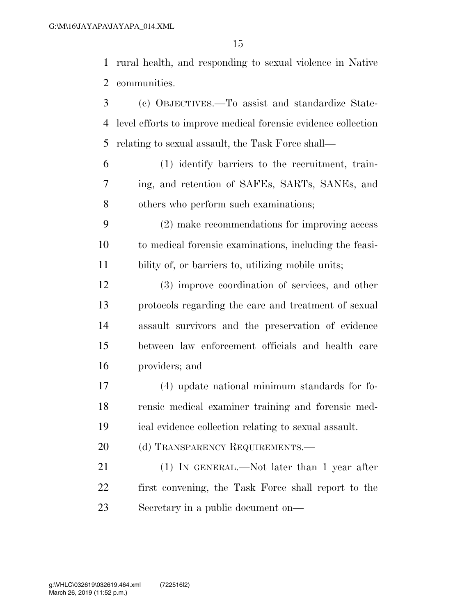rural health, and responding to sexual violence in Native communities.

- (c) OBJECTIVES.—To assist and standardize State- level efforts to improve medical forensic evidence collection relating to sexual assault, the Task Force shall—
- (1) identify barriers to the recruitment, train- ing, and retention of SAFEs, SARTs, SANEs, and others who perform such examinations;
- (2) make recommendations for improving access to medical forensic examinations, including the feasi-bility of, or barriers to, utilizing mobile units;
- (3) improve coordination of services, and other protocols regarding the care and treatment of sexual assault survivors and the preservation of evidence between law enforcement officials and health care providers; and
- (4) update national minimum standards for fo- rensic medical examiner training and forensic med-ical evidence collection relating to sexual assault.
- 20 (d) TRANSPARENCY REQUIREMENTS.
- 21 (1) IN GENERAL.—Not later than 1 year after first convening, the Task Force shall report to the Secretary in a public document on—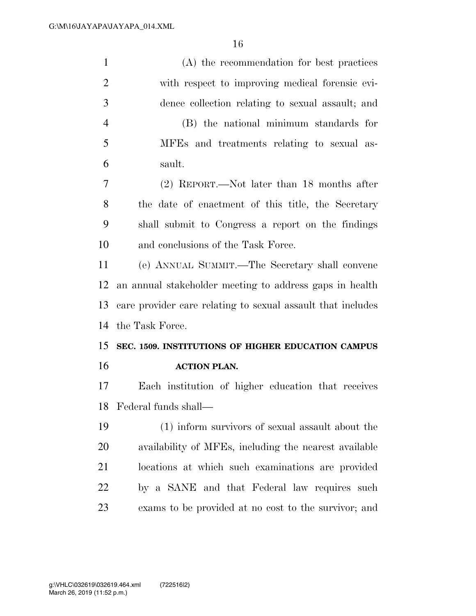| $\mathbf{1}$   | (A) the recommendation for best practices                   |
|----------------|-------------------------------------------------------------|
| $\overline{2}$ | with respect to improving medical forensic evi-             |
| 3              | dence collection relating to sexual assault; and            |
| $\overline{4}$ | (B) the national minimum standards for                      |
| 5              | MFEs and treatments relating to sexual as-                  |
| 6              | sault.                                                      |
| $\overline{7}$ | (2) REPORT.—Not later than 18 months after                  |
| 8              | the date of enactment of this title, the Secretary          |
| 9              | shall submit to Congress a report on the findings           |
| 10             | and conclusions of the Task Force.                          |
| 11             | (e) ANNUAL SUMMIT.—The Secretary shall convene              |
| 12             | an annual stakeholder meeting to address gaps in health     |
| 13             | care provider care relating to sexual assault that includes |
| 14             | the Task Force.                                             |
| 15             | SEC. 1509. INSTITUTIONS OF HIGHER EDUCATION CAMPUS          |
| 16             | <b>ACTION PLAN.</b>                                         |
| 17             | Each institution of higher education that receives          |
|                | 18 Federal funds shall-                                     |
| 19             | (1) inform survivors of sexual assault about the            |
| 20             | availability of MFEs, including the nearest available       |
| 21             | locations at which such examinations are provided           |
| 22             | by a SANE and that Federal law requires such                |
| 23             | exams to be provided at no cost to the survivor; and        |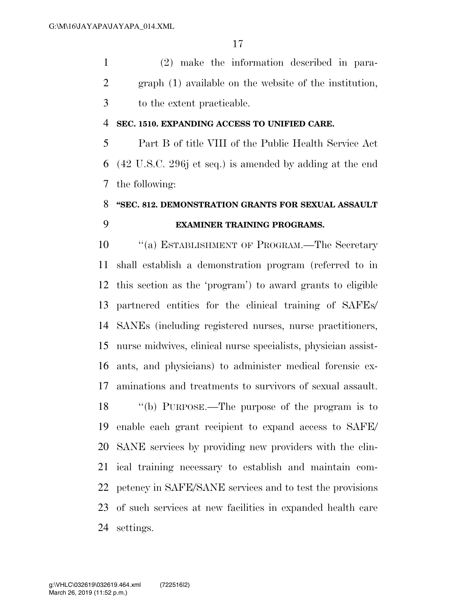(2) make the information described in para- graph (1) available on the website of the institution, to the extent practicable.

#### **SEC. 1510. EXPANDING ACCESS TO UNIFIED CARE.**

 Part B of title VIII of the Public Health Service Act (42 U.S.C. 296j et seq.) is amended by adding at the end the following:

# **''SEC. 812. DEMONSTRATION GRANTS FOR SEXUAL ASSAULT EXAMINER TRAINING PROGRAMS.**

10 <sup>"</sup>(a) ESTABLISHMENT OF PROGRAM.—The Secretary shall establish a demonstration program (referred to in this section as the 'program') to award grants to eligible partnered entities for the clinical training of SAFEs/ SANEs (including registered nurses, nurse practitioners, nurse midwives, clinical nurse specialists, physician assist- ants, and physicians) to administer medical forensic ex-aminations and treatments to survivors of sexual assault.

 ''(b) PURPOSE.—The purpose of the program is to enable each grant recipient to expand access to SAFE/ SANE services by providing new providers with the clin- ical training necessary to establish and maintain com- petency in SAFE/SANE services and to test the provisions of such services at new facilities in expanded health care settings.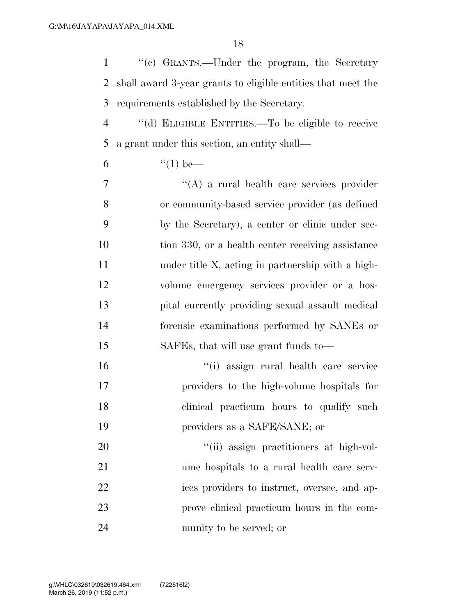''(c) GRANTS.—Under the program, the Secretary shall award 3-year grants to eligible entities that meet the requirements established by the Secretary.

 ''(d) ELIGIBLE ENTITIES.—To be eligible to receive a grant under this section, an entity shall—

6  $"(1)$  be—

 ''(A) a rural health care services provider or community-based service provider (as defined by the Secretary), a center or clinic under sec- tion 330, or a health center receiving assistance under title X, acting in partnership with a high- volume emergency services provider or a hos- pital currently providing sexual assault medical forensic examinations performed by SANEs or SAFEs, that will use grant funds to—

 ''(i) assign rural health care service providers to the high-volume hospitals for 18 clinical practicum hours to qualify such providers as a SAFE/SANE; or

 $\frac{1}{20}$   $\frac{1}{20}$   $\frac{1}{20}$  assign practitioners at high-vol- ume hospitals to a rural health care serv- ices providers to instruct, oversee, and ap- prove clinical practicum hours in the com-munity to be served; or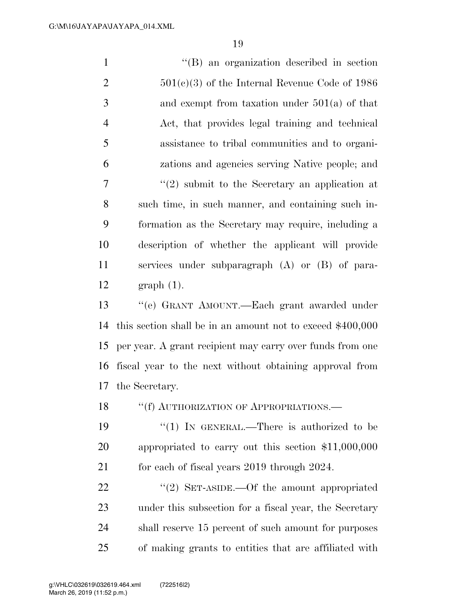| $\mathbf{1}$   | "(B) an organization described in section                   |
|----------------|-------------------------------------------------------------|
| $\overline{2}$ | $501(c)(3)$ of the Internal Revenue Code of 1986            |
| 3              | and exempt from taxation under $501(a)$ of that             |
| $\overline{4}$ | Act, that provides legal training and technical             |
| 5              | assistance to tribal communities and to organi-             |
| 6              | zations and agencies serving Native people; and             |
| $\tau$         | $\lq(2)$ submit to the Secretary an application at          |
| 8              | such time, in such manner, and containing such in-          |
| 9              | formation as the Secretary may require, including a         |
| 10             | description of whether the applicant will provide           |
| 11             | services under subparagraph (A) or (B) of para-             |
| 12             | $graph(1)$ .                                                |
| 13             | "(e) GRANT AMOUNT.—Each grant awarded under                 |
| 14             | this section shall be in an amount not to exceed $$400,000$ |
| 15             | per year. A grant recipient may carry over funds from one   |
| 16             | fiscal year to the next without obtaining approval from     |
| 17             | the Secretary.                                              |
| 18             | "(f) AUTHORIZATION OF APPROPRIATIONS.—                      |
| 19             | "(1) IN GENERAL.—There is authorized to be                  |
| 20             | appropriated to carry out this section $$11,000,000$        |
| 21             | for each of fiscal years 2019 through 2024.                 |
| 22             | "(2) SET-ASIDE.—Of the amount appropriated                  |
| 23             | under this subsection for a fiscal year, the Secretary      |
| 24             | shall reserve 15 percent of such amount for purposes        |

of making grants to entities that are affiliated with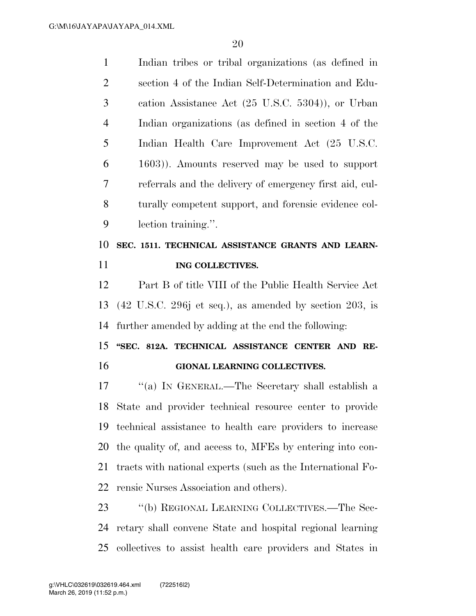| $\mathbf{1}$   | Indian tribes or tribal organizations (as defined in                       |
|----------------|----------------------------------------------------------------------------|
| $\overline{2}$ | section 4 of the Indian Self-Determination and Edu-                        |
| 3              | cation Assistance Act (25 U.S.C. 5304)), or Urban                          |
| $\overline{4}$ | Indian organizations (as defined in section 4 of the                       |
| 5              | Indian Health Care Improvement Act (25 U.S.C.                              |
| 6              | 1603)). Amounts reserved may be used to support                            |
| 7              | referrals and the delivery of emergency first aid, cul-                    |
| 8              | turally competent support, and forensic evidence col-                      |
| 9              | lection training.".                                                        |
| 10             | SEC. 1511. TECHNICAL ASSISTANCE GRANTS AND LEARN-                          |
| 11             | ING COLLECTIVES.                                                           |
|                | Part B of title VIII of the Public Health Service Act                      |
| 12             |                                                                            |
| 13             | $(42 \text{ U.S.C. } 296j \text{ et seq.}),$ as amended by section 203, is |
| 14             | further amended by adding at the end the following:                        |
| 15             | "SEC. 812A. TECHNICAL ASSISTANCE CENTER AND RE-                            |
| 16             | GIONAL LEARNING COLLECTIVES.                                               |
| 17             | "(a) IN GENERAL.—The Secretary shall establish a                           |
|                | 18 State and provider technical resource center to provide                 |
| 19             | technical assistance to health care providers to increase                  |
| 20             | the quality of, and access to, MFEs by entering into con-                  |
| 21             | tracts with national experts (such as the International Fo-                |
| 22             | rensic Nurses Association and others).                                     |
| 23             | "(b) REGIONAL LEARNING COLLECTIVES.—The Sec-                               |

collectives to assist health care providers and States in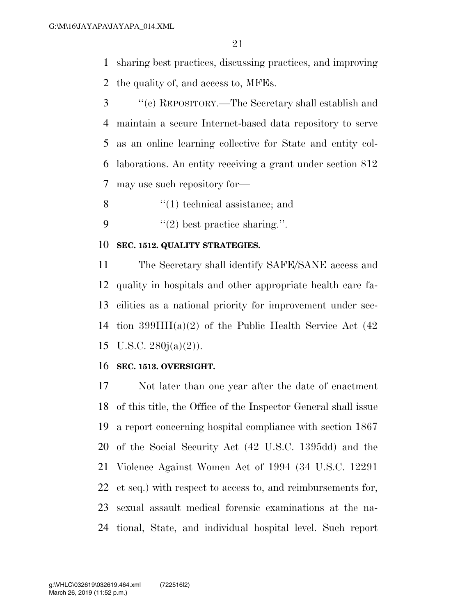sharing best practices, discussing practices, and improving the quality of, and access to, MFEs.

- ''(c) REPOSITORY.—The Secretary shall establish and maintain a secure Internet-based data repository to serve as an online learning collective for State and entity col- laborations. An entity receiving a grant under section 812 may use such repository for—
- 8  $\frac{1}{2}$  (1) technical assistance; and
- 9  $\frac{u(2)}{2}$  best practice sharing.".

#### **SEC. 1512. QUALITY STRATEGIES.**

 The Secretary shall identify SAFE/SANE access and quality in hospitals and other appropriate health care fa- cilities as a national priority for improvement under sec- tion 399HH(a)(2) of the Public Health Service Act (42 15 U.S.C.  $280j(a)(2)$ ).

#### **SEC. 1513. OVERSIGHT.**

 Not later than one year after the date of enactment of this title, the Office of the Inspector General shall issue a report concerning hospital compliance with section 1867 of the Social Security Act (42 U.S.C. 1395dd) and the Violence Against Women Act of 1994 (34 U.S.C. 12291 et seq.) with respect to access to, and reimbursements for, sexual assault medical forensic examinations at the na-tional, State, and individual hospital level. Such report